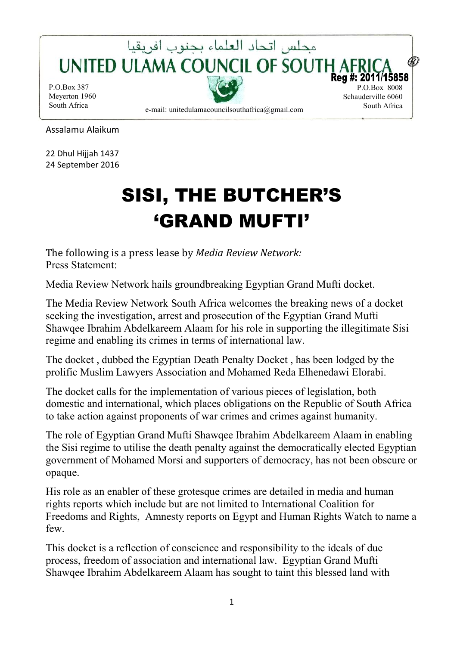

Assalamu Alaikum

22 Dhul Hijjah 1437 24 September 2016

## SISI, THE BUTCHER'S 'GRAND MUFTI'

The following is a press lease by *Media Review Network:*  Press Statement:

Media Review Network hails groundbreaking Egyptian Grand Mufti docket.

The Media Review Network South Africa welcomes the breaking news of a docket seeking the investigation, arrest and prosecution of the Egyptian Grand Mufti Shawqee Ibrahim Abdelkareem Alaam for his role in supporting the illegitimate Sisi regime and enabling its crimes in terms of international law.

The docket , dubbed the Egyptian Death Penalty Docket , has been lodged by the prolific Muslim Lawyers Association and Mohamed Reda Elhenedawi Elorabi.

The docket calls for the implementation of various pieces of legislation, both domestic and international, which places obligations on the Republic of South Africa to take action against proponents of war crimes and crimes against humanity.

The role of Egyptian Grand Mufti Shawqee Ibrahim Abdelkareem Alaam in enabling the Sisi regime to utilise the death penalty against the democratically elected Egyptian government of Mohamed Morsi and supporters of democracy, has not been obscure or opaque.

His role as an enabler of these grotesque crimes are detailed in media and human rights reports which include but are not limited to International Coalition for Freedoms and Rights, Amnesty reports on Egypt and Human Rights Watch to name a few.

This docket is a reflection of conscience and responsibility to the ideals of due process, freedom of association and international law. Egyptian Grand Mufti Shawqee Ibrahim Abdelkareem Alaam has sought to taint this blessed land with